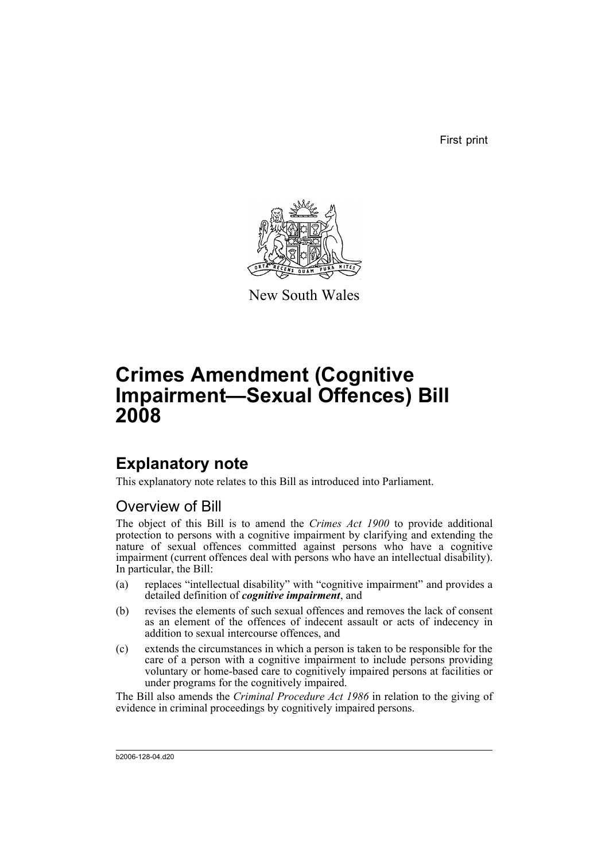First print



New South Wales

# **Crimes Amendment (Cognitive Impairment—Sexual Offences) Bill 2008**

## **Explanatory note**

This explanatory note relates to this Bill as introduced into Parliament.

### Overview of Bill

The object of this Bill is to amend the *Crimes Act 1900* to provide additional protection to persons with a cognitive impairment by clarifying and extending the nature of sexual offences committed against persons who have a cognitive impairment (current offences deal with persons who have an intellectual disability). In particular, the Bill:

- (a) replaces "intellectual disability" with "cognitive impairment" and provides a detailed definition of *cognitive impairment*, and
- (b) revises the elements of such sexual offences and removes the lack of consent as an element of the offences of indecent assault or acts of indecency in addition to sexual intercourse offences, and
- (c) extends the circumstances in which a person is taken to be responsible for the care of a person with a cognitive impairment to include persons providing voluntary or home-based care to cognitively impaired persons at facilities or under programs for the cognitively impaired.

The Bill also amends the *Criminal Procedure Act 1986* in relation to the giving of evidence in criminal proceedings by cognitively impaired persons.

b2006-128-04.d20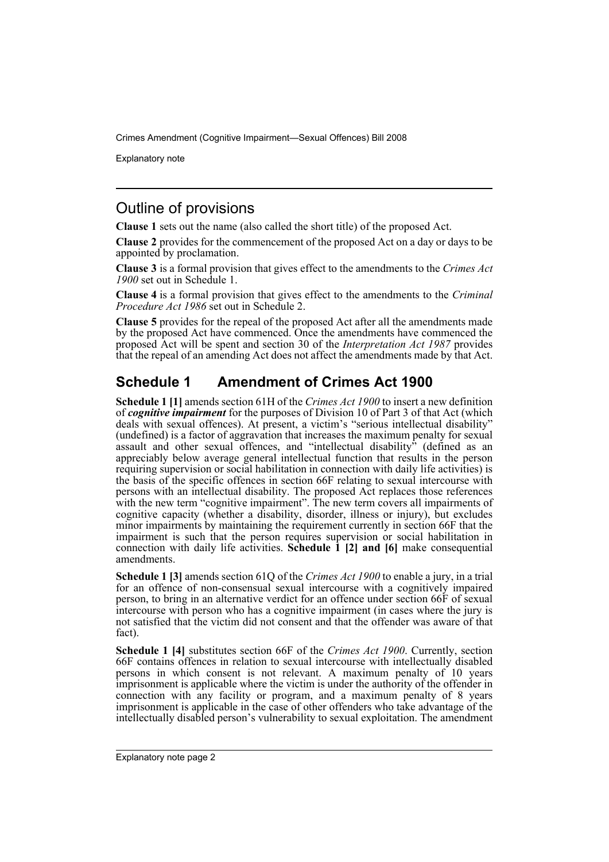Explanatory note

### Outline of provisions

**Clause 1** sets out the name (also called the short title) of the proposed Act.

**Clause 2** provides for the commencement of the proposed Act on a day or days to be appointed by proclamation.

**Clause 3** is a formal provision that gives effect to the amendments to the *Crimes Act 1900* set out in Schedule 1.

**Clause 4** is a formal provision that gives effect to the amendments to the *Criminal Procedure Act 1986* set out in Schedule 2.

**Clause 5** provides for the repeal of the proposed Act after all the amendments made by the proposed Act have commenced. Once the amendments have commenced the proposed Act will be spent and section 30 of the *Interpretation Act 1987* provides that the repeal of an amending Act does not affect the amendments made by that Act.

### **Schedule 1 Amendment of Crimes Act 1900**

**Schedule 1 [1]** amends section 61H of the *Crimes Act 1900* to insert a new definition of *cognitive impairment* for the purposes of Division 10 of Part 3 of that Act (which deals with sexual offences). At present, a victim's "serious intellectual disability" (undefined) is a factor of aggravation that increases the maximum penalty for sexual assault and other sexual offences, and "intellectual disability" (defined as an appreciably below average general intellectual function that results in the person requiring supervision or social habilitation in connection with daily life activities) is the basis of the specific offences in section 66F relating to sexual intercourse with persons with an intellectual disability. The proposed Act replaces those references with the new term "cognitive impairment". The new term covers all impairments of cognitive capacity (whether a disability, disorder, illness or injury), but excludes minor impairments by maintaining the requirement currently in section 66F that the impairment is such that the person requires supervision or social habilitation in connection with daily life activities. **Schedule 1 [2] and [6]** make consequential amendments.

**Schedule 1 [3]** amends section 61Q of the *Crimes Act 1900* to enable a jury, in a trial for an offence of non-consensual sexual intercourse with a cognitively impaired person, to bring in an alternative verdict for an offence under section 66F of sexual intercourse with person who has a cognitive impairment (in cases where the jury is not satisfied that the victim did not consent and that the offender was aware of that fact).

**Schedule 1 [4]** substitutes section 66F of the *Crimes Act 1900*. Currently, section 66F contains offences in relation to sexual intercourse with intellectually disabled persons in which consent is not relevant. A maximum penalty of 10 years imprisonment is applicable where the victim is under the authority of the offender in connection with any facility or program, and a maximum penalty of 8 years imprisonment is applicable in the case of other offenders who take advantage of the intellectually disabled person's vulnerability to sexual exploitation. The amendment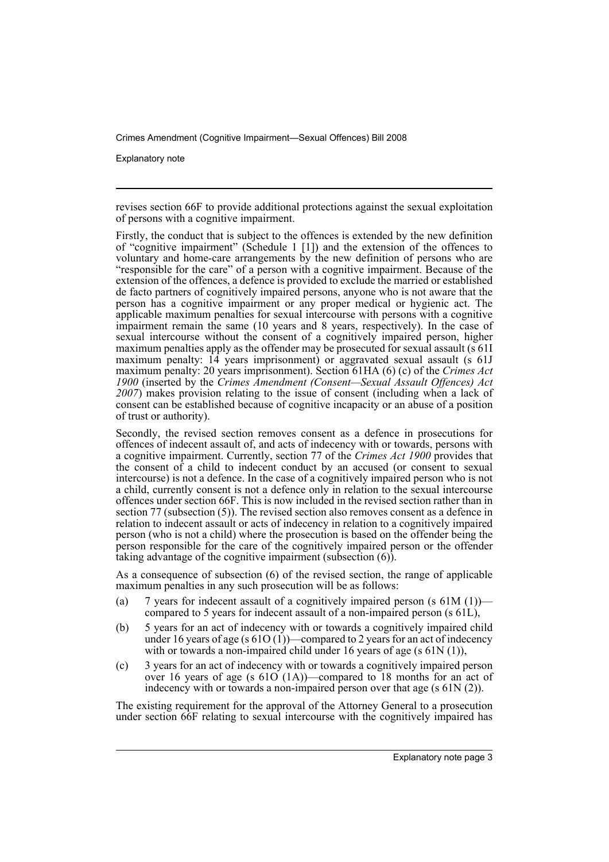Explanatory note

revises section 66F to provide additional protections against the sexual exploitation of persons with a cognitive impairment.

Firstly, the conduct that is subject to the offences is extended by the new definition of "cognitive impairment" (Schedule 1 [1]) and the extension of the offences to voluntary and home-care arrangements by the new definition of persons who are "responsible for the care" of a person with a cognitive impairment. Because of the extension of the offences, a defence is provided to exclude the married or established de facto partners of cognitively impaired persons, anyone who is not aware that the person has a cognitive impairment or any proper medical or hygienic act. The applicable maximum penalties for sexual intercourse with persons with a cognitive impairment remain the same (10 years and 8 years, respectively). In the case of sexual intercourse without the consent of a cognitively impaired person, higher maximum penalties apply as the offender may be prosecuted for sexual assault (s 61I) maximum penalty: 14 years imprisonment) or aggravated sexual assault (s 61J maximum penalty: 20 years imprisonment). Section 61HA (6) (c) of the *Crimes Act 1900* (inserted by the *Crimes Amendment (Consent—Sexual Assault Offences) Act 2007*) makes provision relating to the issue of consent (including when a lack of consent can be established because of cognitive incapacity or an abuse of a position of trust or authority).

Secondly, the revised section removes consent as a defence in prosecutions for offences of indecent assault of, and acts of indecency with or towards, persons with a cognitive impairment. Currently, section 77 of the *Crimes Act 1900* provides that the consent of a child to indecent conduct by an accused (or consent to sexual intercourse) is not a defence. In the case of a cognitively impaired person who is not a child, currently consent is not a defence only in relation to the sexual intercourse offences under section 66F. This is now included in the revised section rather than in section 77 (subsection (5)). The revised section also removes consent as a defence in relation to indecent assault or acts of indecency in relation to a cognitively impaired person (who is not a child) where the prosecution is based on the offender being the person responsible for the care of the cognitively impaired person or the offender taking advantage of the cognitive impairment (subsection  $(6)$ ).

As a consequence of subsection (6) of the revised section, the range of applicable maximum penalties in any such prosecution will be as follows:

- (a) 7 years for indecent assault of a cognitively impaired person (s  $61M(1)$ ) compared to 5 years for indecent assault of a non-impaired person (s 61L),
- (b) 5 years for an act of indecency with or towards a cognitively impaired child under 16 years of age (s  $61O(1)$ )—compared to 2 years for an act of indecency with or towards a non-impaired child under 16 years of age (s 61N (1)),
- (c) 3 years for an act of indecency with or towards a cognitively impaired person over 16 years of age (s 61O (1A))—compared to 18 months for an act of indecency with or towards a non-impaired person over that age (s 61N (2)).

The existing requirement for the approval of the Attorney General to a prosecution under section 66F relating to sexual intercourse with the cognitively impaired has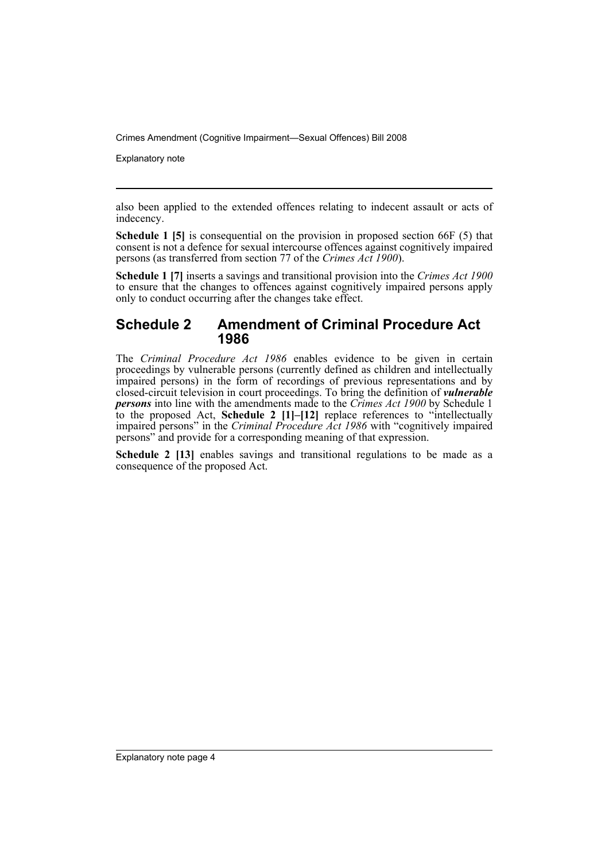Explanatory note

also been applied to the extended offences relating to indecent assault or acts of indecency.

**Schedule 1 [5]** is consequential on the provision in proposed section 66F (5) that consent is not a defence for sexual intercourse offences against cognitively impaired persons (as transferred from section 77 of the *Crimes Act 1900*).

**Schedule 1 [7]** inserts a savings and transitional provision into the *Crimes Act 1900* to ensure that the changes to offences against cognitively impaired persons apply only to conduct occurring after the changes take effect.

#### **Schedule 2 Amendment of Criminal Procedure Act 1986**

The *Criminal Procedure Act 1986* enables evidence to be given in certain proceedings by vulnerable persons (currently defined as children and intellectually impaired persons) in the form of recordings of previous representations and by closed-circuit television in court proceedings. To bring the definition of *vulnerable persons* into line with the amendments made to the *Crimes Act 1900* by Schedule 1 to the proposed Act, **Schedule 2 [1]–[12]** replace references to "intellectually impaired persons" in the *Criminal Procedure Act 1986* with "cognitively impaired persons" and provide for a corresponding meaning of that expression.

Schedule 2 [13] enables savings and transitional regulations to be made as a consequence of the proposed Act.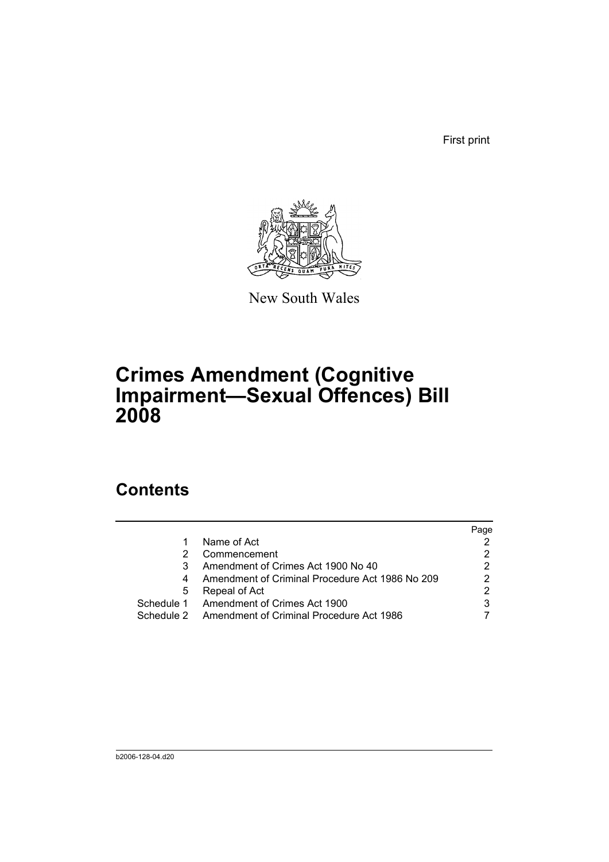First print



New South Wales

# **Crimes Amendment (Cognitive Impairment—Sexual Offences) Bill 2008**

## **Contents**

|            |                                                 | Page |
|------------|-------------------------------------------------|------|
|            | Name of Act                                     |      |
|            | Commencement                                    |      |
|            | Amendment of Crimes Act 1900 No 40              | 2    |
|            | Amendment of Criminal Procedure Act 1986 No 209 | 2    |
| 5          | Repeal of Act                                   | 2    |
| Schedule 1 | Amendment of Crimes Act 1900                    | 3    |
| Schedule 2 | Amendment of Criminal Procedure Act 1986        |      |
|            |                                                 |      |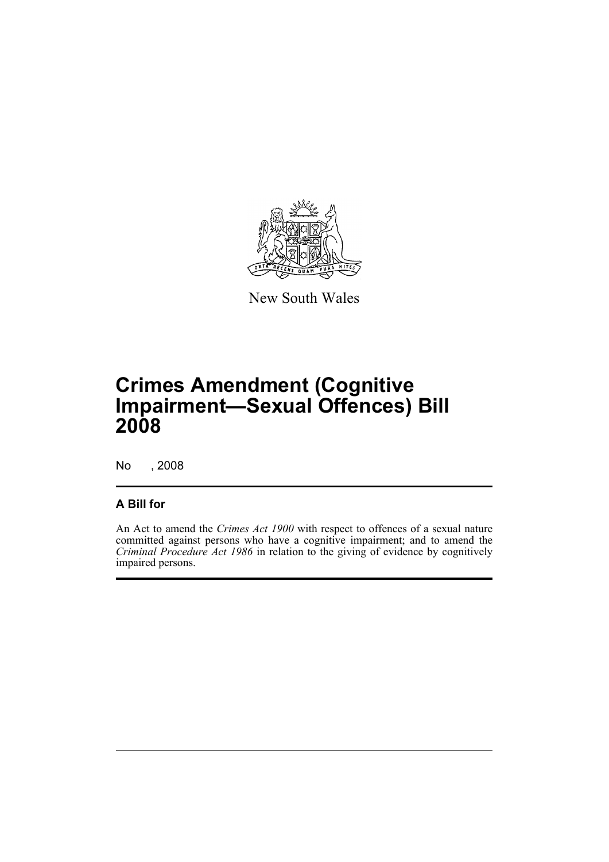

New South Wales

## **Crimes Amendment (Cognitive Impairment—Sexual Offences) Bill 2008**

No , 2008

#### **A Bill for**

An Act to amend the *Crimes Act 1900* with respect to offences of a sexual nature committed against persons who have a cognitive impairment; and to amend the *Criminal Procedure Act 1986* in relation to the giving of evidence by cognitively impaired persons.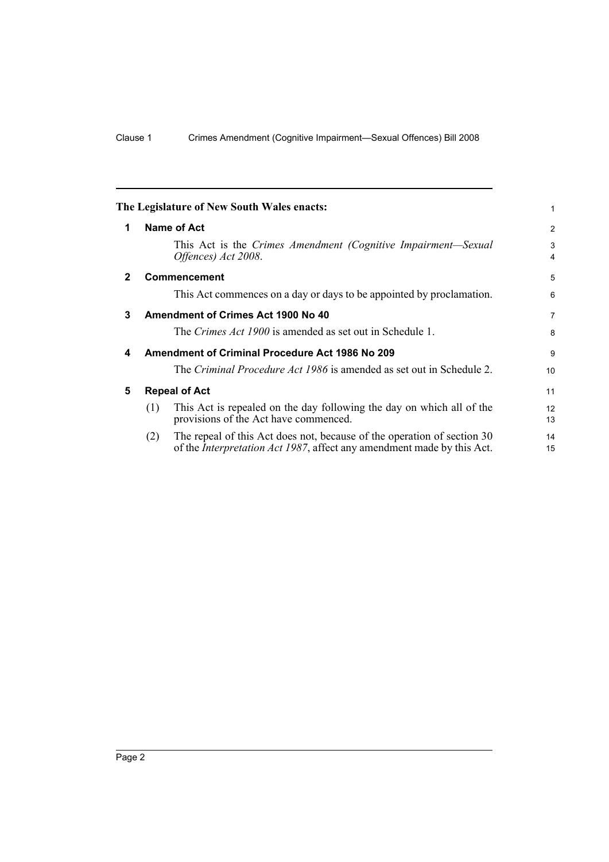<span id="page-7-4"></span><span id="page-7-3"></span><span id="page-7-2"></span><span id="page-7-1"></span><span id="page-7-0"></span>

| The Legislature of New South Wales enacts: |                                                        |                                                                                                                                                           |                              |
|--------------------------------------------|--------------------------------------------------------|-----------------------------------------------------------------------------------------------------------------------------------------------------------|------------------------------|
| 1                                          |                                                        | <b>Name of Act</b>                                                                                                                                        | 2                            |
|                                            |                                                        | This Act is the Crimes Amendment (Cognitive Impairment—Sexual<br>Offences) Act 2008.                                                                      | 3<br>$\overline{\mathbf{4}}$ |
| $\mathbf 2$                                |                                                        | <b>Commencement</b>                                                                                                                                       | 5                            |
|                                            |                                                        | This Act commences on a day or days to be appointed by proclamation.                                                                                      | 6                            |
| 3                                          | Amendment of Crimes Act 1900 No 40                     |                                                                                                                                                           |                              |
|                                            |                                                        | The <i>Crimes Act 1900</i> is amended as set out in Schedule 1.                                                                                           | 8                            |
| $\overline{\mathbf{4}}$                    | <b>Amendment of Criminal Procedure Act 1986 No 209</b> |                                                                                                                                                           |                              |
|                                            |                                                        | The <i>Criminal Procedure Act 1986</i> is amended as set out in Schedule 2.                                                                               | 10                           |
| 5                                          | <b>Repeal of Act</b>                                   |                                                                                                                                                           | 11                           |
|                                            | (1)                                                    | This Act is repealed on the day following the day on which all of the<br>provisions of the Act have commenced.                                            | 12<br>13                     |
|                                            | (2)                                                    | The repeal of this Act does not, because of the operation of section 30<br>of the <i>Interpretation Act 1987</i> , affect any amendment made by this Act. | 14<br>15                     |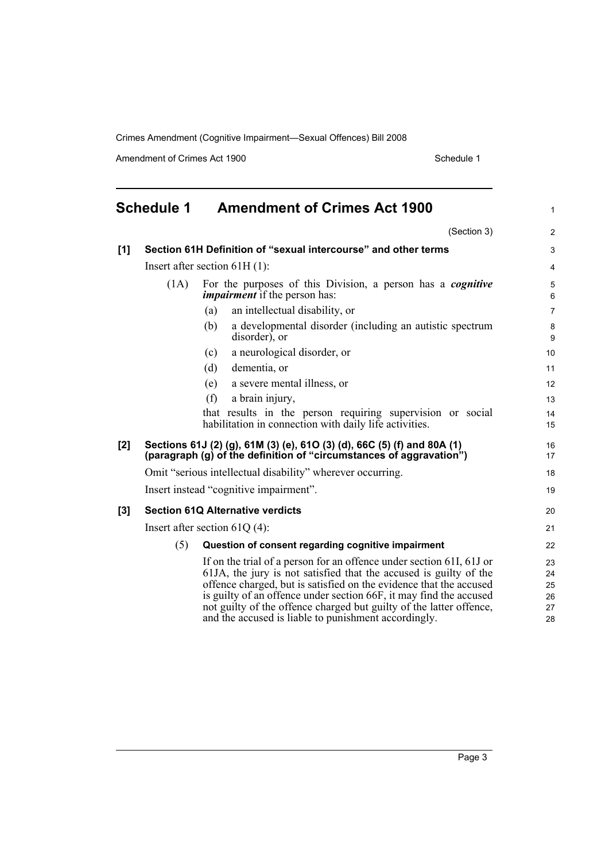Amendment of Crimes Act 1900 Schedule 1

<span id="page-8-0"></span>

| <b>Schedule 1</b> |                                                                                                                                                | <b>Amendment of Crimes Act 1900</b>                                                                                                                                                                                                                                                                                                                                                                                  |                                  |
|-------------------|------------------------------------------------------------------------------------------------------------------------------------------------|----------------------------------------------------------------------------------------------------------------------------------------------------------------------------------------------------------------------------------------------------------------------------------------------------------------------------------------------------------------------------------------------------------------------|----------------------------------|
|                   |                                                                                                                                                | (Section 3)                                                                                                                                                                                                                                                                                                                                                                                                          | $\overline{2}$                   |
| [1]               |                                                                                                                                                | Section 61H Definition of "sexual intercourse" and other terms                                                                                                                                                                                                                                                                                                                                                       | 3                                |
|                   | Insert after section $61H(1)$ :                                                                                                                |                                                                                                                                                                                                                                                                                                                                                                                                                      |                                  |
|                   | (1A)                                                                                                                                           | For the purposes of this Division, a person has a <i>cognitive</i><br><i>impairment</i> if the person has:                                                                                                                                                                                                                                                                                                           | 5<br>6                           |
|                   |                                                                                                                                                | an intellectual disability, or<br>(a)                                                                                                                                                                                                                                                                                                                                                                                | $\overline{7}$                   |
|                   |                                                                                                                                                | a developmental disorder (including an autistic spectrum<br>(b)<br>disorder), or                                                                                                                                                                                                                                                                                                                                     | 8<br>9                           |
|                   |                                                                                                                                                | a neurological disorder, or<br>(c)                                                                                                                                                                                                                                                                                                                                                                                   | 10                               |
|                   |                                                                                                                                                | (d)<br>dementia, or                                                                                                                                                                                                                                                                                                                                                                                                  | 11                               |
|                   |                                                                                                                                                | (e)<br>a severe mental illness, or                                                                                                                                                                                                                                                                                                                                                                                   | 12                               |
|                   |                                                                                                                                                | (f)<br>a brain injury,                                                                                                                                                                                                                                                                                                                                                                                               | 13                               |
|                   |                                                                                                                                                | that results in the person requiring supervision or social<br>habilitation in connection with daily life activities.                                                                                                                                                                                                                                                                                                 | 14<br>15                         |
| [2]               | Sections 61J (2) (g), 61M (3) (e), 61O (3) (d), 66C (5) (f) and 80A (1)<br>(paragraph (g) of the definition of "circumstances of aggravation") |                                                                                                                                                                                                                                                                                                                                                                                                                      | 16<br>17                         |
|                   | Omit "serious intellectual disability" wherever occurring.                                                                                     |                                                                                                                                                                                                                                                                                                                                                                                                                      |                                  |
|                   | Insert instead "cognitive impairment".                                                                                                         |                                                                                                                                                                                                                                                                                                                                                                                                                      | 19                               |
| $[3]$             | <b>Section 61Q Alternative verdicts</b>                                                                                                        |                                                                                                                                                                                                                                                                                                                                                                                                                      | 20                               |
|                   | Insert after section $61Q(4)$ :                                                                                                                |                                                                                                                                                                                                                                                                                                                                                                                                                      |                                  |
|                   | (5)                                                                                                                                            | Question of consent regarding cognitive impairment                                                                                                                                                                                                                                                                                                                                                                   | 22                               |
|                   |                                                                                                                                                | If on the trial of a person for an offence under section 61I, 61J or<br>61JA, the jury is not satisfied that the accused is guilty of the<br>offence charged, but is satisfied on the evidence that the accused<br>is guilty of an offence under section 66F, it may find the accused<br>not guilty of the offence charged but guilty of the latter offence,<br>and the accused is liable to punishment accordingly. | 23<br>24<br>25<br>26<br>27<br>28 |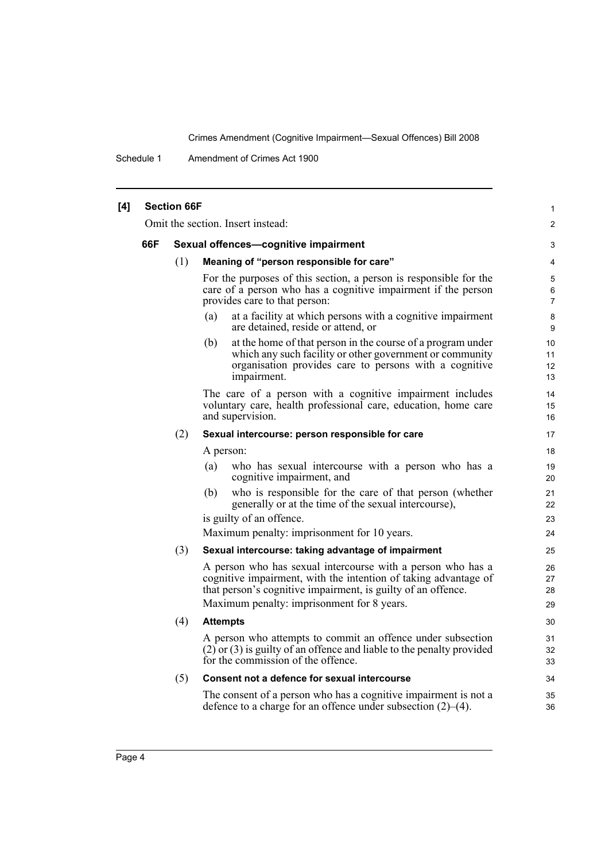Schedule 1 Amendment of Crimes Act 1900

| [4] |                                   | <b>Section 66F</b>                   |                                                                                                                                                                                                                                              | $\mathbf{1}$         |
|-----|-----------------------------------|--------------------------------------|----------------------------------------------------------------------------------------------------------------------------------------------------------------------------------------------------------------------------------------------|----------------------|
|     | Omit the section. Insert instead: |                                      |                                                                                                                                                                                                                                              | 2                    |
|     | 66F                               | Sexual offences-cognitive impairment |                                                                                                                                                                                                                                              |                      |
|     |                                   | (1)                                  | Meaning of "person responsible for care"                                                                                                                                                                                                     | $\overline{4}$       |
|     |                                   |                                      | For the purposes of this section, a person is responsible for the<br>care of a person who has a cognitive impairment if the person<br>provides care to that person:                                                                          | 5<br>6<br>7          |
|     |                                   |                                      | at a facility at which persons with a cognitive impairment<br>(a)<br>are detained, reside or attend, or                                                                                                                                      | 8<br>9               |
|     |                                   |                                      | at the home of that person in the course of a program under<br>(b)<br>which any such facility or other government or community<br>organisation provides care to persons with a cognitive<br>impairment.                                      | 10<br>11<br>12<br>13 |
|     |                                   |                                      | The care of a person with a cognitive impairment includes<br>voluntary care, health professional care, education, home care<br>and supervision.                                                                                              | 14<br>15<br>16       |
|     |                                   | (2)                                  | Sexual intercourse: person responsible for care                                                                                                                                                                                              | 17                   |
|     |                                   |                                      | A person:                                                                                                                                                                                                                                    | 18                   |
|     |                                   |                                      | who has sexual intercourse with a person who has a<br>(a)<br>cognitive impairment, and                                                                                                                                                       | 19<br>20             |
|     |                                   |                                      | who is responsible for the care of that person (whether<br>(b)<br>generally or at the time of the sexual intercourse),                                                                                                                       | 21<br>22             |
|     |                                   |                                      | is guilty of an offence.                                                                                                                                                                                                                     | 23                   |
|     |                                   |                                      | Maximum penalty: imprisonment for 10 years.                                                                                                                                                                                                  | 24                   |
|     |                                   | (3)                                  | Sexual intercourse: taking advantage of impairment                                                                                                                                                                                           | 25                   |
|     |                                   |                                      | A person who has sexual intercourse with a person who has a<br>cognitive impairment, with the intention of taking advantage of<br>that person's cognitive impairment, is guilty of an offence.<br>Maximum penalty: imprisonment for 8 years. | 26<br>27<br>28<br>29 |
|     |                                   |                                      |                                                                                                                                                                                                                                              |                      |
|     |                                   | (4)                                  | <b>Attempts</b>                                                                                                                                                                                                                              | 30                   |
|     |                                   |                                      | A person who attempts to commit an offence under subsection<br>$(2)$ or $(3)$ is guilty of an offence and liable to the penalty provided<br>for the commission of the offence.                                                               | 31<br>32<br>33       |
|     |                                   | (5)                                  | Consent not a defence for sexual intercourse                                                                                                                                                                                                 | 34                   |
|     |                                   |                                      | The consent of a person who has a cognitive impairment is not a<br>defence to a charge for an offence under subsection $(2)$ – $(4)$ .                                                                                                       | 35<br>36             |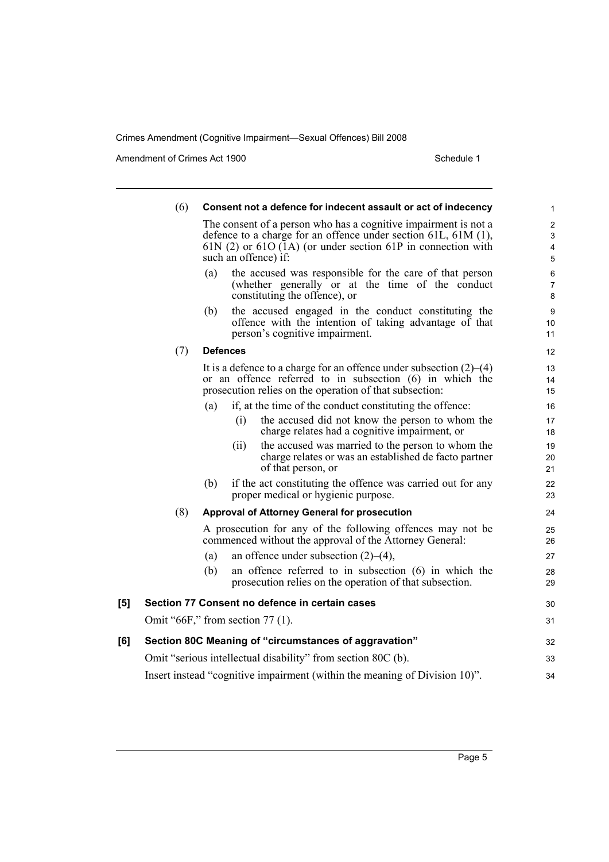Amendment of Crimes Act 1900 Schedule 1

|     | (6)                                                          |     | Consent not a defence for indecent assault or act of indecency                                                                                                                                                                         | 1                                       |
|-----|--------------------------------------------------------------|-----|----------------------------------------------------------------------------------------------------------------------------------------------------------------------------------------------------------------------------------------|-----------------------------------------|
|     |                                                              |     | The consent of a person who has a cognitive impairment is not a<br>defence to a charge for an offence under section $61L$ , $61M$ $(1)$ ,<br>$61N$ (2) or $61O(1A)$ (or under section $61P$ in connection with<br>such an offence) if: | $\overline{2}$<br>$\mathsf 3$<br>4<br>5 |
|     |                                                              | (a) | the accused was responsible for the care of that person<br>(whether generally or at the time of the conduct<br>constituting the offence), or                                                                                           | 6<br>7<br>8                             |
|     |                                                              | (b) | the accused engaged in the conduct constituting the<br>offence with the intention of taking advantage of that<br>person's cognitive impairment.                                                                                        | 9<br>10<br>11                           |
|     | (7)                                                          |     | <b>Defences</b>                                                                                                                                                                                                                        | 12                                      |
|     |                                                              |     | It is a defence to a charge for an offence under subsection $(2)$ – $(4)$<br>or an offence referred to in subsection (6) in which the<br>prosecution relies on the operation of that subsection:                                       | 13<br>14<br>15                          |
|     |                                                              | (a) | if, at the time of the conduct constituting the offence:                                                                                                                                                                               | 16                                      |
|     |                                                              |     | (i)<br>the accused did not know the person to whom the<br>charge relates had a cognitive impairment, or                                                                                                                                | 17<br>18                                |
|     |                                                              |     | the accused was married to the person to whom the<br>(11)<br>charge relates or was an established de facto partner<br>of that person, or                                                                                               | 19<br>20<br>21                          |
|     |                                                              | (b) | if the act constituting the offence was carried out for any<br>proper medical or hygienic purpose.                                                                                                                                     | 22<br>23                                |
|     | (8)                                                          |     | Approval of Attorney General for prosecution                                                                                                                                                                                           | 24                                      |
|     |                                                              |     | A prosecution for any of the following offences may not be<br>commenced without the approval of the Attorney General:                                                                                                                  | 25<br>26                                |
|     |                                                              | (a) | an offence under subsection $(2)$ – $(4)$ ,                                                                                                                                                                                            | 27                                      |
|     |                                                              | (b) | an offence referred to in subsection $(6)$ in which the<br>prosecution relies on the operation of that subsection.                                                                                                                     | 28<br>29                                |
| [5] |                                                              |     | Section 77 Consent no defence in certain cases                                                                                                                                                                                         | 30                                      |
|     |                                                              |     | Omit "66F," from section 77 (1).                                                                                                                                                                                                       | 31                                      |
| [6] |                                                              |     | Section 80C Meaning of "circumstances of aggravation"                                                                                                                                                                                  | 32                                      |
|     | Omit "serious intellectual disability" from section 80C (b). |     |                                                                                                                                                                                                                                        |                                         |
|     |                                                              |     | Insert instead "cognitive impairment (within the meaning of Division 10)".                                                                                                                                                             | 34                                      |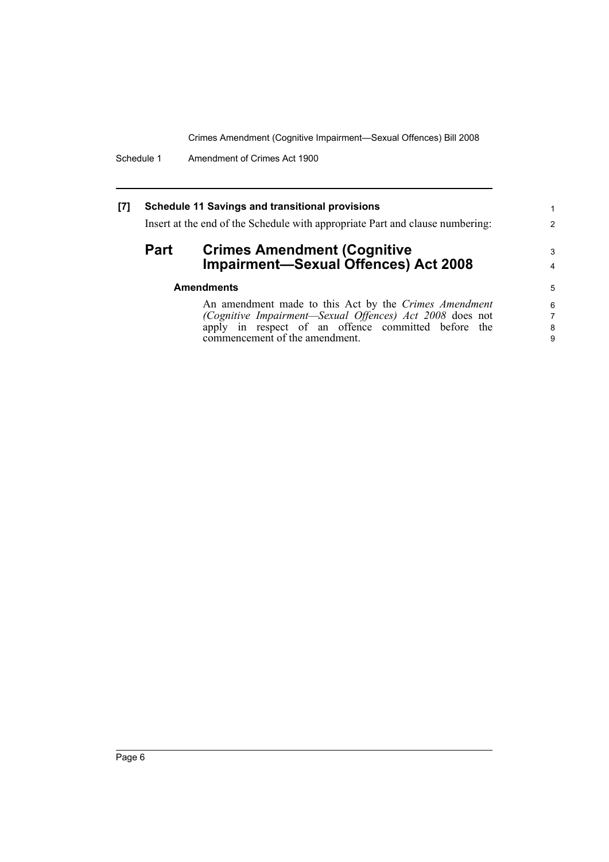Schedule 1 Amendment of Crimes Act 1900

#### **[7] Schedule 11 Savings and transitional provisions**

Insert at the end of the Schedule with appropriate Part and clause numbering:

### **Part Crimes Amendment (Cognitive Impairment—Sexual Offences) Act 2008**

| <b>Amendments</b> |  |
|-------------------|--|
|-------------------|--|

An amendment made to this Act by the *Crimes Amendment (Cognitive Impairment—Sexual Offences) Act 2008* does not apply in respect of an offence committed before the commencement of the amendment.

1 2

3 4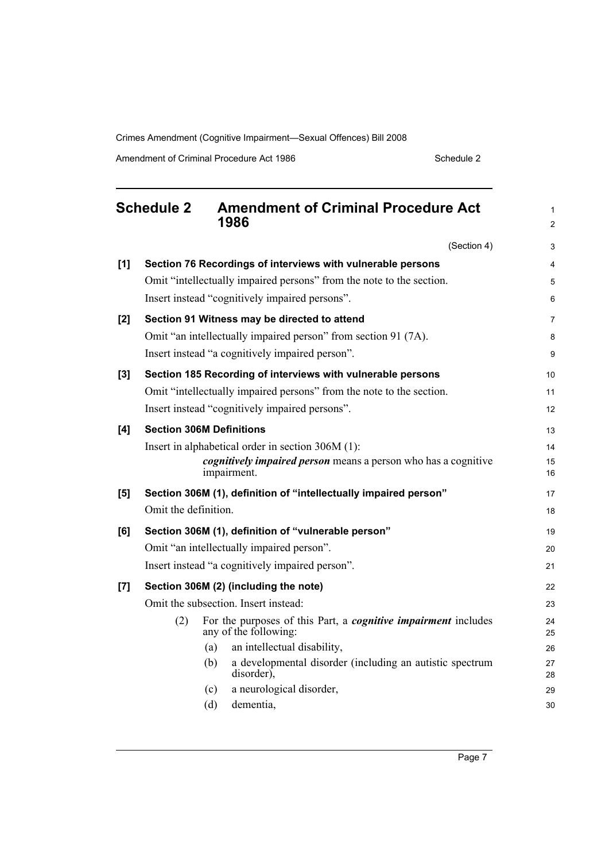Amendment of Criminal Procedure Act 1986 Schedule 2

<span id="page-12-0"></span>

|     | <b>Schedule 2</b><br><b>Amendment of Criminal Procedure Act</b><br>1986                               | $\mathbf{1}$<br>$\overline{2}$ |
|-----|-------------------------------------------------------------------------------------------------------|--------------------------------|
|     | (Section 4)                                                                                           | 3                              |
| [1] | Section 76 Recordings of interviews with vulnerable persons                                           | 4                              |
|     | Omit "intellectually impaired persons" from the note to the section.                                  | 5                              |
|     | Insert instead "cognitively impaired persons".                                                        | 6                              |
| [2] | Section 91 Witness may be directed to attend                                                          | $\overline{7}$                 |
|     | Omit "an intellectually impaired person" from section 91 (7A).                                        | 8                              |
|     | Insert instead "a cognitively impaired person".                                                       | 9                              |
| [3] | Section 185 Recording of interviews with vulnerable persons                                           | 10                             |
|     | Omit "intellectually impaired persons" from the note to the section.                                  | 11                             |
|     | Insert instead "cognitively impaired persons".                                                        | 12                             |
| [4] | <b>Section 306M Definitions</b>                                                                       | 13                             |
|     | Insert in alphabetical order in section 306M (1):                                                     | 14                             |
|     | <i>cognitively impaired person</i> means a person who has a cognitive<br>impairment.                  | 15<br>16                       |
| [5] | Section 306M (1), definition of "intellectually impaired person"                                      | 17                             |
|     | Omit the definition.                                                                                  | 18                             |
| [6] | Section 306M (1), definition of "vulnerable person"                                                   | 19                             |
|     | Omit "an intellectually impaired person".                                                             | 20                             |
|     | Insert instead "a cognitively impaired person".                                                       | 21                             |
| [7] | Section 306M (2) (including the note)                                                                 | 22                             |
|     | Omit the subsection. Insert instead:                                                                  | 23                             |
|     | For the purposes of this Part, a <i>cognitive impairment</i> includes<br>(2)<br>any of the following: | 24<br>25                       |
|     | an intellectual disability,<br>(a)                                                                    | 26                             |
|     | a developmental disorder (including an autistic spectrum<br>(b)<br>disorder),                         | 27<br>28                       |
|     | a neurological disorder,<br>(c)                                                                       | 29                             |
|     | dementia,<br>(d)                                                                                      | 30                             |

Page 7